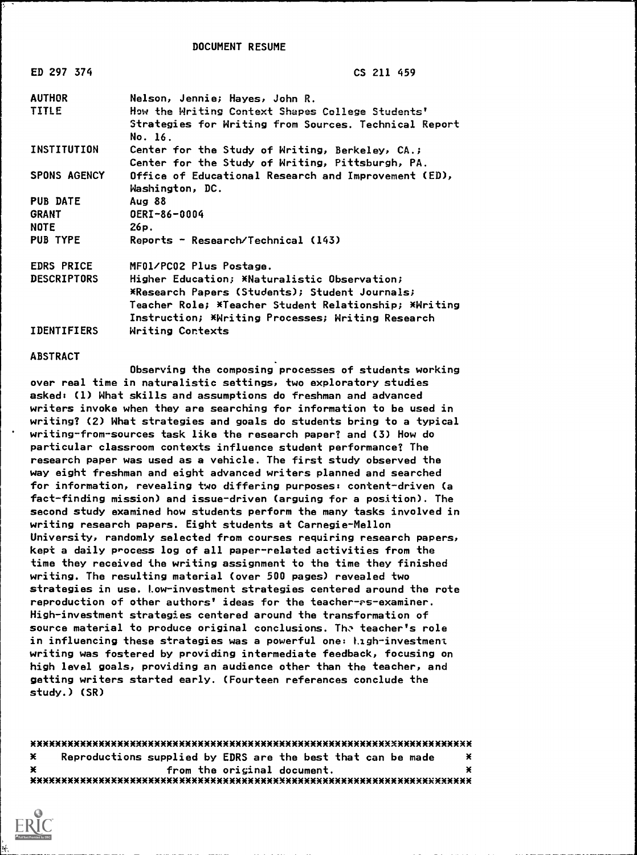DOCUMENT RESUME

| ED 297 374          | CS 211 459                                                              |
|---------------------|-------------------------------------------------------------------------|
| <b>AUTHOR</b>       | Nelson, Jennie; Hayes, John R.                                          |
| <b>TITLE</b>        | How the Writing Context Shapes College Students'                        |
|                     | Strategies for Writing from Sources. Technical Report<br>No. 16.        |
| <b>INSTITUTION</b>  | Center for the Study of Writing, Berkeley, CA.;                         |
|                     | Center for the Study of Writing, Pittsburgh, PA.                        |
| <b>SPONS AGENCY</b> | Office of Educational Research and Improvement (ED),<br>Washington, DC. |
| <b>PUB DATE</b>     | Aug 88                                                                  |
| <b>GRANT</b>        | OERI-86-0004                                                            |
| <b>NOTE</b>         | 26p.                                                                    |
| <b>PUB TYPE</b>     | Reports - Research/Technical (143)                                      |
| <b>EDRS PRICE</b>   | MF01/PC02 Plus Postage.                                                 |
| <b>DESCRIPTORS</b>  | Higher Education; *Naturalistic Observation;                            |
|                     | *Research Papers (Students); Student Journals;                          |
|                     | Teacher Role; *Teacher Student Relationship; *Writing                   |
|                     | Instruction; *Writing Processes; Writing Research                       |
| <b>IDENTIFIERS</b>  | Writina Contexts                                                        |

ABSTRACT

Observing the composing processes of students working over real time in naturalistic settings, two exploratory studies asked: (1) What skills and assumptions do freshman and advanced writers invoke when they are searching for information to be used in writing? (2) What strategies and goals do students bring to a typical writing-from-sources task like the research paper? and (3) How do particular classroom contexts influence student performance? The research paper was used as a vehicle. The first study observed the way eight freshman and eight advanced writers planned and searched for information, revealing two differing purposes: content-driven (a fact-finding mission) and issue-driven (arguing for a position). The second study examined how students perform the many tasks involved in writing research papers. Eight students at Carnegie-Mellon University, randomly selected from courses requiring research papers, kept a daily process log of all paper-related activities from the time they received the writing assignment to the time they finished writing. The resulting material (over 500 pages) revealed two strategies in use. Low-investment strategies centered around the rote reproduction of other authors' ideas for the teacher- $s$ -examiner. High-investment strategies centered around the transformation of source material to produce original conclusions. The teacher's role in influencing these strategies was a powerful one: Ligh-investment writing was fostered by providing intermediate feedback, focusing on high level goals, providing an audience other than the teacher, and getting writers started early. (Fourteen references conclude the study.) (SR)

XXXXXXX300EXMX\*\*X3000000(XXXXXXXXXXXX\*30EX\*\*\*X300EXXXXXXXXXXXXXXXXXXXXXXXXX X Reproductions supplied by EDRS are the best that can be made X <sup>X</sup> from the original document. <sup>X</sup> XXXXXXXXXXXXXXXXXXX300(XXXXXXXXXXXX300EXXXXXXXXXXXXXXXXXXXXXXXXXXXXXXXXXM

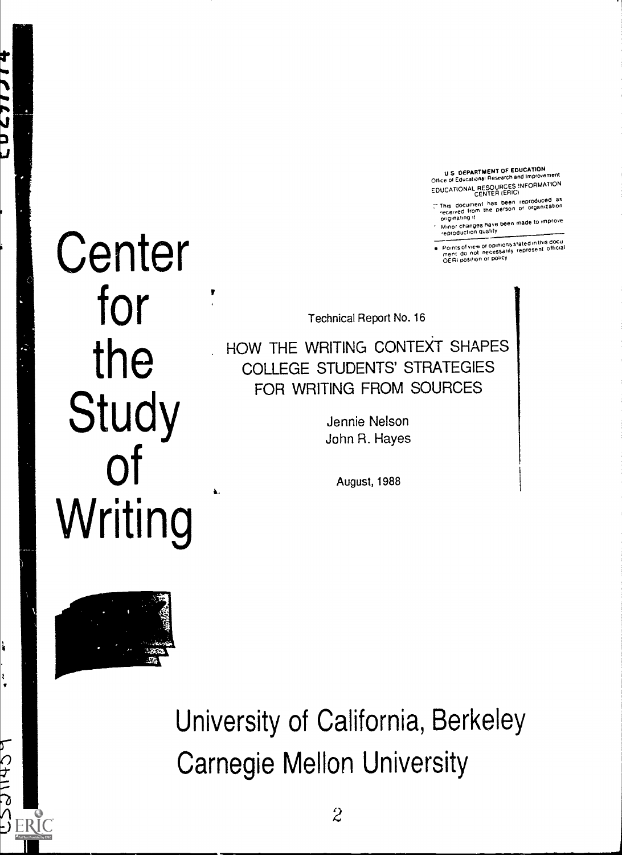U S DEPARTMENT OF EDUCATION<br>Office of Educational Research and improvement

EDUCATIONAL RESOURCES INFORMATION

- 7 ThiS dOCureent has been reproduced aS received from the person or organization originating it
	- ongone to anges have been made to improve<br>Minor changes have been made to improve<br>reproduction quality

Points of view or opinions Stated inthis dOCu merit do not necessarily represent official OERI position or poi4Cy

# **Center** for **Study** of Writing

147 q

**NCALLC** 

S ERIC

Technical Report No. 16

the HOW THE WRITING HOW THE WRITING CONTEXT SHAPES COLLEGE STUDENTS' STRATEGIES FOR WRITING FROM SOURCES

> Jennie Nelson John R. Hayes

> > August, 1988



University of California, Berkeley Carnegie Mellon University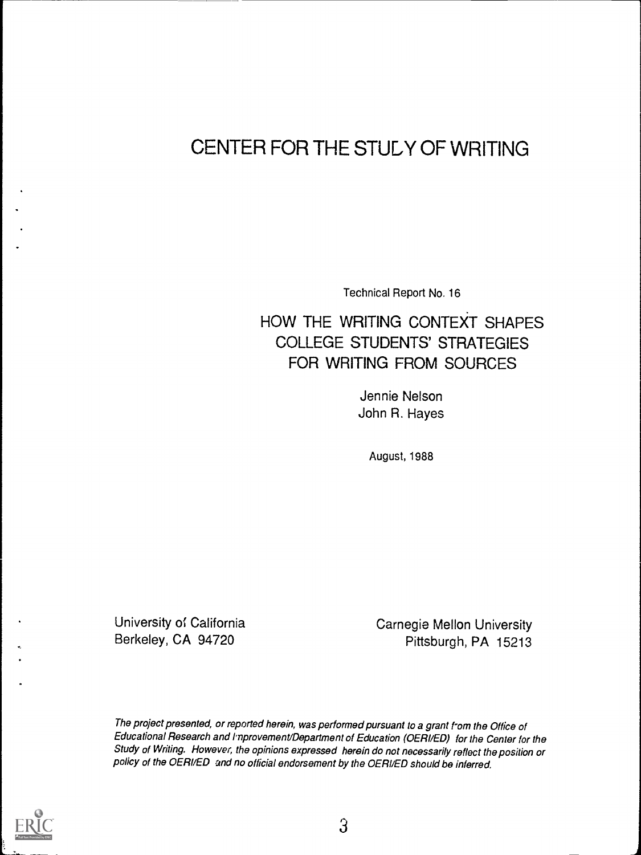# CENTER FOR THE STULY OF WRITING

Technical Report No. 16

## HOW THE WRITING CONTEXT SHAPES COLLEGE STUDENTS' STRATEGIES FOR WRITING FROM SOURCES

Jennie Nelson John R. Hayes

August, 1988

University of California **Carnegie Mellon University** Berkeley, CA 94720 Pittsburgh, PA 15213

The project presented, or reported herein, was performed pursuant to a grant f'om the Office of Educational Research and Improvement/Department of Education (OERI/ED) for the Center for the Study of Writing. However, the opinions expressed herein do not necessarily reflect the position or policy of the OERI/ED and no official endorsement by the OERI/ED should be inferred.

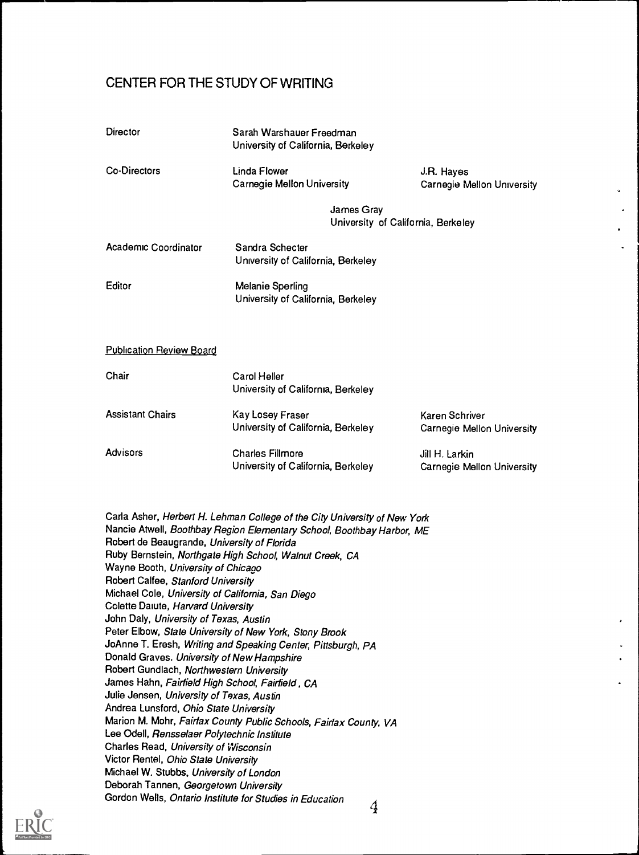## CENTER FOR THE STUDY OF WRITING

| Director                        | Sarah Warshauer Freedman<br>University of California, Berkeley |                                              |  |  |  |
|---------------------------------|----------------------------------------------------------------|----------------------------------------------|--|--|--|
| Co-Directors                    | Linda Flower<br><b>Carnegie Mellon University</b>              | J.R. Hayes<br>Carnegie Mellon University     |  |  |  |
|                                 | James Gray<br>University of California, Berkeley               |                                              |  |  |  |
| Academic Coordinator            | Sandra Schecter<br>University of California, Berkeley          |                                              |  |  |  |
| Editor                          | Melanie Sperling<br>University of California, Berkeley         |                                              |  |  |  |
| <b>Publication Review Board</b> |                                                                |                                              |  |  |  |
| Chair                           | <b>Carol Heller</b><br>University of California, Berkeley      |                                              |  |  |  |
| <b>Assistant Chairs</b>         | Kay Losey Fraser<br>University of California, Berkeley         | Karen Schriver<br>Carnegie Mellon University |  |  |  |
| Advisors                        | <b>Charles Fillmore</b><br>University of California, Berkeley  | Jill H. Larkin<br>Carnegie Mellon University |  |  |  |

Carla Asher, Herbert H. Lehman College of the City University of New York Nancie Atwell, Boothbay Region Elementary School, Boothbay Harbor, ME Robert de Beaugrande, University of Florida Ruby Bernstein, Northgate High School, Walnut Creek, CA Wayne Booth, University of Chicago Robert Calfee, Stanford University Michael Cole, University of California, San Diego Colette Daiute, Harvard University John Daly, University of Texas, Austin Peter Elbow, State University of New York, Stony Brook JoAnne T. Eresh, Writing and Speaking Center, Pittsburgh, PA Donald Graves. University of New Hampshire Robert Gundlach, Northwestern University James Hahn, Fairfield High School, Fairfield , CA Julie Jensen, University of Texas, Austin Andrea Lunsford, Ohio State University Marion M. Mohr, Fairfax County Public Schools, Fairfax County. VA Lee Odell, Rensselaer Polytechnic Institute Charles Read, University of Wisconsin Victor Rentel, Ohio State University Michael W. Stubbs, University of London Deborah Tannen, Georgetown University Gordon Wells, Ontario Institute for Studies in Education 4

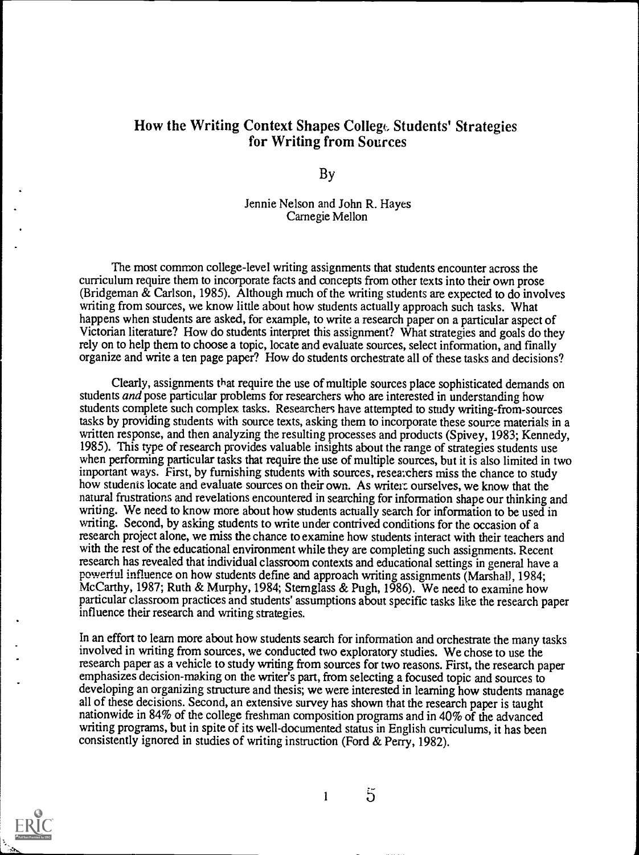## How the Writing Context Shapes College Students' Strategies for Writing from Sources

By

Jennie Nelson and John R. Hayes Carnegie Mellon

The most common college-level writing assignments that students encounter across the curriculum require them to incorporate facts and concepts from other texts into their own prose (Bridgeman & Carlson, 1985). Although much of the writing students are expected to do involves writing from sources, we know little about how students actually approach such tasks. What happens when students are asked, for example, to write a research paper on a particular aspect of Victorian literature? How do students interpret this assignment? What strategies and goals do they rely on to help them to choose a topic, locate and evaluate sources, select information, and finally organize and write a ten page paper? How do students orchestrate all of these tasks and decisions?

Clearly, assignments that require the use of multiple sources place sophisticated demands on students and pose particular problems for researchers who are interested in understanding how students complete such complex tasks. Researchers have attempted to study writing-from-sources tasks by providing students with source texts, asking them to incorporate these source materials in a written response, and then analyzing the resulting processes and products (Spivey, 1983; Kennedy, 1985). This type of research provides valuable insights about the range of strategies students use when performing particular tasks that require the use of multiple sources, but it is also limited in two important ways. First, by furnishing students with sources, researchers miss the chance to study how students locate and evaluate sources on their own. As writers ourselves, we know that the natural frustrations and revelations encountered in searching for information shape our thinking and writing. We need to know more about how students actually search for information to be used in writing. Second, by asking students to write under contrived conditions for the occasion of a research project alone, we miss the chance to examine how students interact with their teachers and with the rest of the educational environment while they are completing such assignments. Recent research has revealed that individual classroom contexts and educational settings in general have a powerful influence on how students define and approach writing assignments (Marshall, 1984; McCarthy, 1987; Ruth & Murphy, 1984; Sternglass & Pugh, 1986). We need to examine how particular classroom practices and students' assumptions about specific tasks like the research paper influence their research and writing strategies.

In an effort to learn more about how students search for information and orchestrate the many tasks involved in writing from sources, we conducted two exploratory studies. We chose to use the research paper as a vehicle to study writing from sources for two reasons. First, the research paper emphasizes decision-making on the writer's part, from selecting a focused topic and sources to developing an organizing structure and thesis; we were interested in learning how students manage all of these decisions. Second, an extensive survey has shown that the research paper is taught nationwide in 84% of the college freshman composition programs and in 40% of the advanced writing programs, but in spite of its well-documented status in English curriculums, it has been consistently ignored in studies of writing instruction (Ford & Perry, 1982).



1

 $\overline{5}$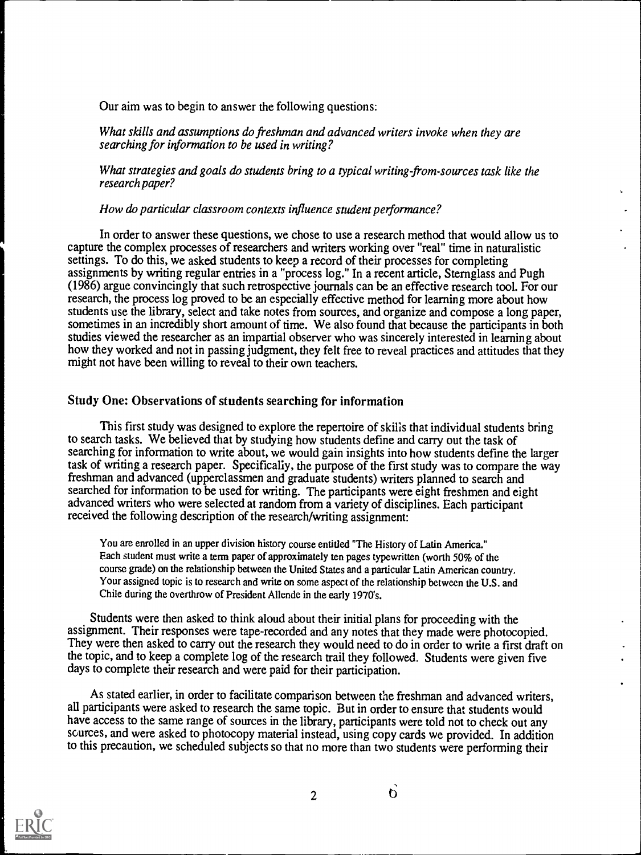Our aim was to begin to answer the following questions:

What skills and assumptions do freshman and advanced writers invoke when they are searching for information to be used in writing?

What strategies and goals do students bring to a typical writing-from-sources task like the research paper?

#### How do particular classroom contexts influence student performance?

In order to answer these questions, we chose to use a research method that would allow us to capture the complex processes of researchers and writers working over "real" time in naturalistic settings. To do this, we asked students to keep a record of their processes for completing assignments by writing regular entries in a "process log." In a recent article, Sternglass and Pugh (1986) argue convincingly that such retrospective journals can be an effective research tool. For our research, the process log proved to be an especially effective method for learning more about how students use the library, select and take notes from sources, and organize and compose a long paper, sometimes in an incredibly short amount of time. We also found that because the participants in both studies viewed the researcher as an impartial observer who was sincerely interested in learning about how they worked and not in passing judgment, they felt free to reveal practices and attitudes that they might not have been willing to reveal to their own teachers.

#### Study One: Observations of students searching for information

This first study was designed to explore the repertoire of skills that individual students bring to search tasks. We believed that by studying how students define and carry out the task of searching for information to write about, we would gain insights into how students define the larger task of writing a research paper. Specifically, the purpose of the first study was to compare the way freshman and advanced (upperclassmen and graduate students) writers planned to search and searched for information to be used for writing. The participants were eight freshmen and eight advanced writers who were selected at random from a variety of disciplines. Each participant received the following description of the research/writing assignment:

You are enrolled in an upper division history course entitled "The History of Latin America." Each student must write a term paper of approximately ten pages typewritten (worth 50% of the course grade) on the relationship between the United States and a particular Latin American country. Your assigned topic is to research and write on some aspect of the relationship between the U.S. and Chile during the overthrow of President Allende in the early 1970's.

Students were then asked to think aloud about their initial plans for proceeding with the assignment. Their responses were tape-recorded and any notes that they made were photocopied. They were then asked to carry out the research they would need to do in order to write a first draft on the topic, and to keep a complete log of the research trail they followed. Students were given five days to complete their research and were paid for their participation.

As stated earlier, in order to facilitate comparison between the freshman and advanced writers, all participants were asked to research the same topic. But in order to ensure that students would have access to the same range of sources in the library, participants were told not to check out any sources, and were asked to photocopy material instead, using copy cards we provided. In addition to this precaution, we scheduled subjects so that no more than two students were performing their

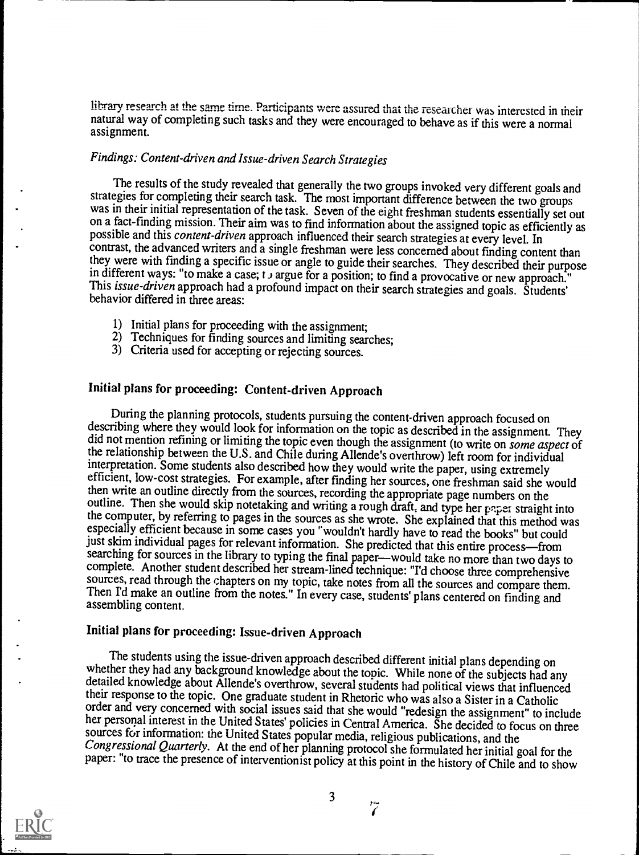library research at the sane time. Participants were assured that the researcher was interested in their natural way of completing such tasks and they were encouraged to behave as if this were a normal assignment.

## Findings: Content-driven and Issue-driven Search Strategies

The results of the study revealed that generally the two groups invoked very different goals and strategies for completing their search task. The most important difference between the two groups was in their initial representation of the task. Seven of the eight freshman students essentially set out on a fact-finding mission. Their aim was to find information about the assigned topic as efficiently as possible and contrast, the advanced writers and a single freshman were less concerned about finding content than they were with finding a specific issue or angle to guide their searches. They described their purpose in different ways: "to make a case; t a argue for a position; to find a provocative or new approach." This issue-driven approach had a profound impact on their search strategies and goals. Students' behavior differed in three areas:

- 1) Initial plans for proceeding with the assignment;
- 2) Techniques for finding sources and limiting searches;
- 3) Criteria used for accepting or rejecting sources.

## Initial plans for proceeding: Content-driven Approach

During the planning protocols, students pursuing the content-driven approach focused on describing where they would look for information on the topic as described in the assignment. They did not mention refining or limiting the topic even though the assignment (to write on some aspect of the relationship between the U.S. and Chile during Allende's overthrow) left room for individual interpretation. Some students also described how they would write the paper, using extremely efficient, low-cost strategies. For example, after finding her sources, one freshman said she would then write an outline directly from the sources, recording the appropriate page numbers on the outline. Then she would skip notetaking and writing a rough draft, and type her paper straight into the computer, by referring to pages in the sources as she wrote. She explained that this method was especially efficient because in some cases you "wouldn't hardly have to read the books" but could just skim individual pages for relevant information. She predicted that this entire process—from searching for sources in the library to typing the final paper—would take no more than two days to sources, read through the chapters on my topic, take notes from all the sources and compare them. Then I'd make an outline from the notes." In every case, students' plans centered on finding and assembling content.

## Initial plans for proceeding: Issue-driven Approach

The students using the issue-driven approach described different initial plans depending on<br>whether they had any background knowledge about the topic. While none of the subjects had any<br>detailed knowledge about Allende's o

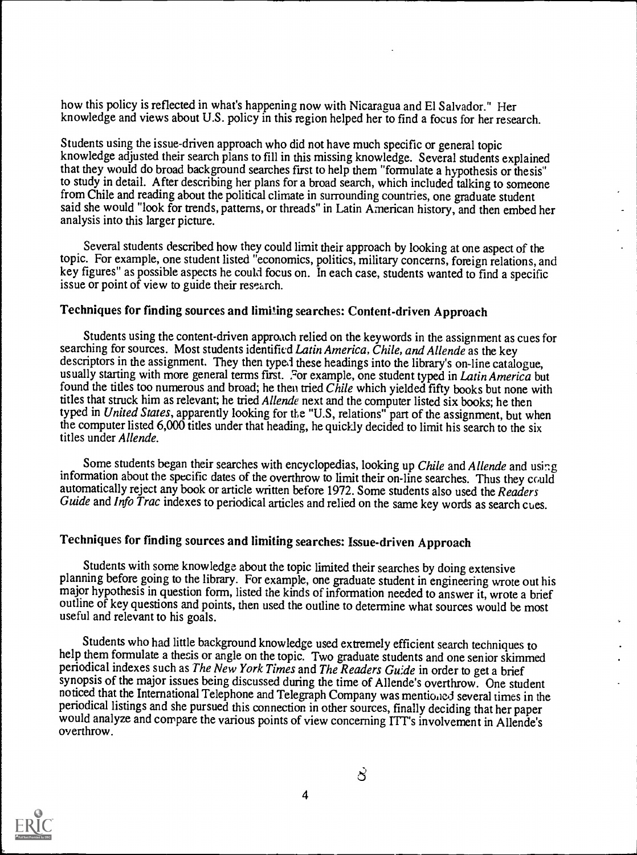how this policy is reflected in what's happening now with Nicaragua and El Salvador." Her knowledge and views about U.S. policy in this region helped her to find a focus for her research.

Students using the issue-driven approach who did not have much specific or general topic knowledge adjusted their search plans to fill in this missing knowledge. Several students explained that they would do broad background searches first to help them "formulate a hypothesis or thesis" to study in detail. After describing her plans for a broad search, which included talking to someone from Chile and reading about the political climate in surrounding countries, one graduate student said she would "look for trends, patterns, or threads" in Latin American history, and then embed her analysis into this larger picture.

Several students described how they could limit their approach by looking at one aspect of the topic. For example, one student listed "economics, politics, military concerns, foreign relations, and key figures" as possible aspects he could focus on. In each case, students wanted to find a specific issue or point of view to guide their research.

#### Techniques for finding sources and limiting searches: Content-driven Approach

Students using the content-driven approach relied on the keywords in the assignment as cues for searching for sources. Most students identified Latin America, Chile, and Allende as the key descriptors in the assignment. They then typed these headings into the library's on-line catalogue, usually starting with more general terms first. For example, one student typed in Latin America but found the titles too numerous and broad; he then tried Chile which yielded fifty books but none with titles that struck him as relevant; he tried Allende next and the computer listed six books; he then typed in United States, apparently looking for the "U.S, relations" part of the assignment, but when the computer listed 6,000 titles under that heading, he quickly decided to limit his search to the six titles under Allende.

Some students began their searches with encyclopedias, looking up Chile and Allende and using information about the specific dates of the overthrow to limit their on-line searches. Thus they could automatically reject any book or article written before 1972. Some students also used the Readers Guide and Info Trac indexes to periodical articles and relied on the same key words as search cues.

## Techniques for finding sources and limiting searches: Issue-driven Approach

Students with some knowledge about the topic limited their searches by doing extensive planning before going to the library. For example, one graduate student in engineering wrote out his major hypothesis in question form, listed the kinds of information needed to answer it, wrote a brief outline of key questions and points, then used the outline to determine what sources would be most useful and relevant to his goals.

Students who had little background knowledge used extremely efficient search techniques to help them formulate a thesis or angle on the topic. Two graduate students and one senior skimmed periodical indexes such as *The Ne* synopsis of the major issues being discussed during the time of Allende's overthrow. One student noticed that the International Telephone and Telegraph Company was mentioned several times in the periodical listings and she pursued this connection in other sources, finally deciding that her paper would analyze and compare the various points of view concerning ITT's involvement in Allende's overthrow.



 $\beta$  and the set of  $\beta$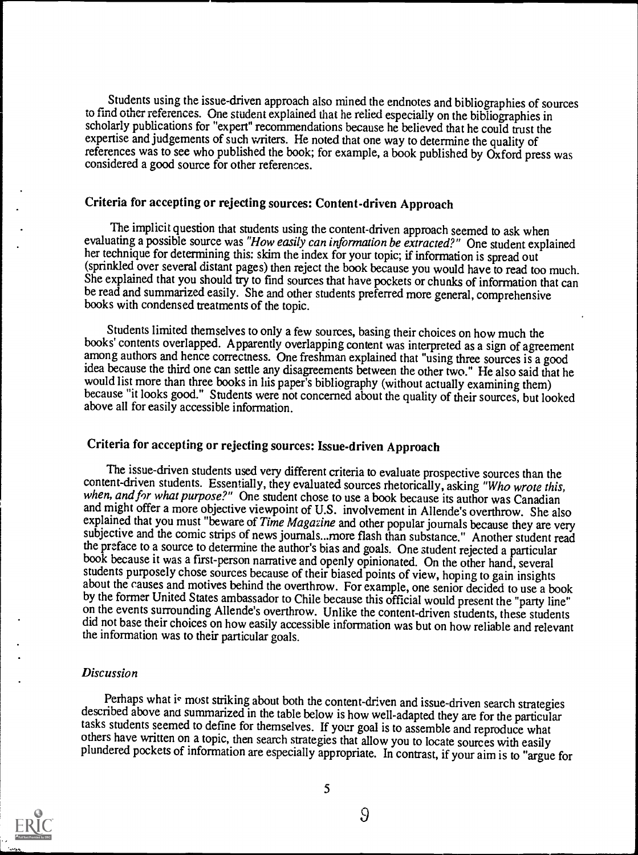Students using the issue-driven approach also mined the endnotes and bibliographies of sources to find other references. One student explained that he relied especially on the bibliographies in scholarly publications for "expert" recommendations because he believed that he could trust the expertise and judgements of such writers. He noted that one way to determine the quality of references was to see who published the book; for example, a book published by Oxford press was considered a good source for other references.

## Criteria for accepting or rejecting sources: Content-driven Approach

The implicit question that students using the content-driven approach seemed to ask when evaluating a possible source was "How easily can information be extracted?" One student explained her technique for determining this: skim the index for your topic; if information is spread out (sprinkled over several distant pages) then reject the book because you would have to read too much. She explained that you should try to find sources that have pockets or chunks of information that can be read and summarized easily. She and other students preferred more general, comprehensive books with condensed treatments of the topic.

Students limited themselves to only a few sources, basing their choices on how much the books' contents overlapped. Apparently overlapping content was interpreted as a sign of agreement among authors and hence correctness. One freshman explained that "using three sources is a good idea because the third one can settle any disagreements between the other two." He also said that he would list more than three books in his paper's bibliography (without actually examining them) because "it looks good." Students were not concerned about the quality of their sources, but looked above all for easily accessible information.

## Criteria for accepting or rejecting sources: Issue-driven Approach

The issue-driven students used very different criteria to evaluate prospective sources than the content-driven students. Essentially, they evaluated sources rhetorically, asking "Who wrote this, when, and for what purpose? and might offer a more objective viewpoint of U.S. involvement in Allende's overthrow. She also explained that you must "beware of Time Magazine and other popular journals because they are very subjective and the comic strips of news journals...more flash than substance." Another student read the preface to a source to determine the author's bias and goals. One student rejected a particular book because it was a first-person narrative and openly opinionated. On the other hand, several students purposely chose sources because of their biased points of view, hoping to gain insights about the causes and motives behind the overthrow. For example, one senior decided to use a book<br>by the former United States ambassador to Chile because this official would present the "party line" on the events surrounding Allende's overthrow. Unlike the content-driven students, these students did not base their choices on how easily accessible information was but on how reliable and relevant the information was to their particular goals.

#### Discussion

Perhaps what is most striking about both the content-driven and issue-driven search strategies described above and summarized in the table below is how well-adapted they are for the particular tasks students seemed to defi others have written on a topic, then search strategies that allow you to locate sources with easily plundered pockets of information are especially appropriate. In contrast, if your aim is to "argue for

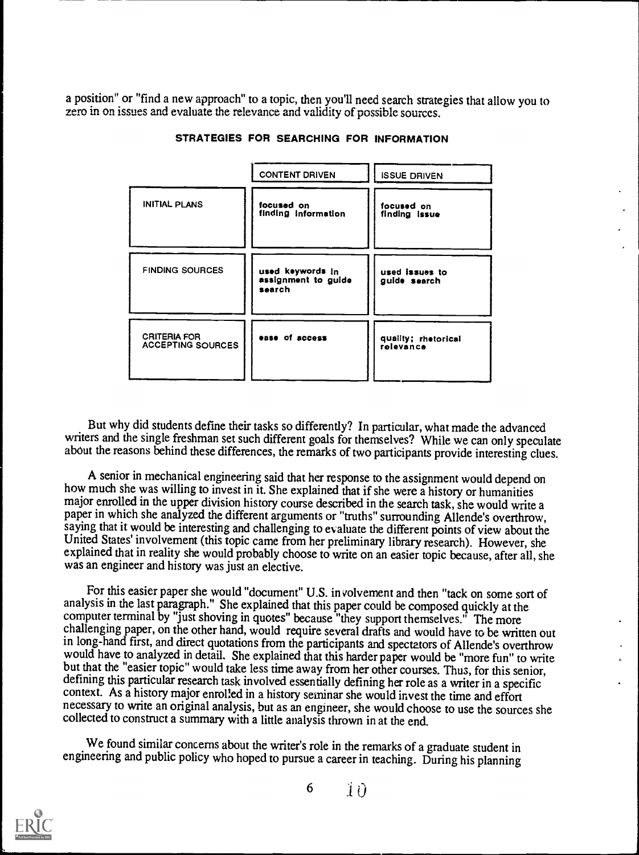a position" or "find a new approach" to a topic, then you'll need search strategies that allow you to zero in on issues and evaluate the relevance and validity of possible sources.

|                                          | <b>CONTENT DRIVEN</b>                             | <b>ISSUE DRIVEN</b>              |
|------------------------------------------|---------------------------------------------------|----------------------------------|
| INITIAL PLANS                            | focused on<br>finding information                 | focused on<br>finding issue      |
| <b>FINDING SOURCES</b>                   | used keywords in<br>assignment to guide<br>search | used issues to<br>guide search   |
| <b>CRITERIA FOR</b><br>ACCEPTING SOURCES | ease of access                                    | quality; rhetorical<br>relevance |

STRATEGIES FOR SEARCHING FOR INFORMATION

But why did students define their tasks so differently? In particular, what made the advanced writers and the single freshman set such different goals for themselves? While we can only speculate about the reasons behind these differences, the remarks of two participants provide interesting clues.

A senior in mechanical engineering said that her response to the assignment would depend on how much she was willing to invest in it. She explained that if she were a history or humanities major enrolled in the upper division history course described in the search task, she would write a paper in which she analyzed the different arguments or "truths" surrounding Allende's overthrow, saying that it would be interesting and challenging to evaluate the different points of view about the United States' involvement (this topic came from her preliminary library research). However, she explained that in reality she would probably choose to write on an easier topic because, after all, she was an engineer and history was just an elective.

For this easier paper she would "document" U.S. involvement and then "tack on some sort of analysis in the last paragraph." She explained that this paper could be composed quickly at the computer terminal by "just shoving in quotes" because "they support themselves." The more challenging paper, on the other hand, would require several drafts and would have to be written out in long-hand first, and direct quotations from the participants and spectators of Allende's overthrow would have to analyzed in detail. She explained that this harder paper would be "more fun" to write<br>but that the "easier topic" would take less time away from her other courses. Thus, for this senior,<br>defining this particu context. As a history major enrolled in a history seminar she would invest the time and effort necessary to write an original analysis, but as an engineer, she would choose to use the sources she collected to construct a summary with a little analysis thrown in at the end.

We found similar concerns about the writer's role in the remarks of a graduate student in engineering and public policy who hoped to pursue a career in teaching. During his planning

![](_page_9_Picture_7.jpeg)

6 1 0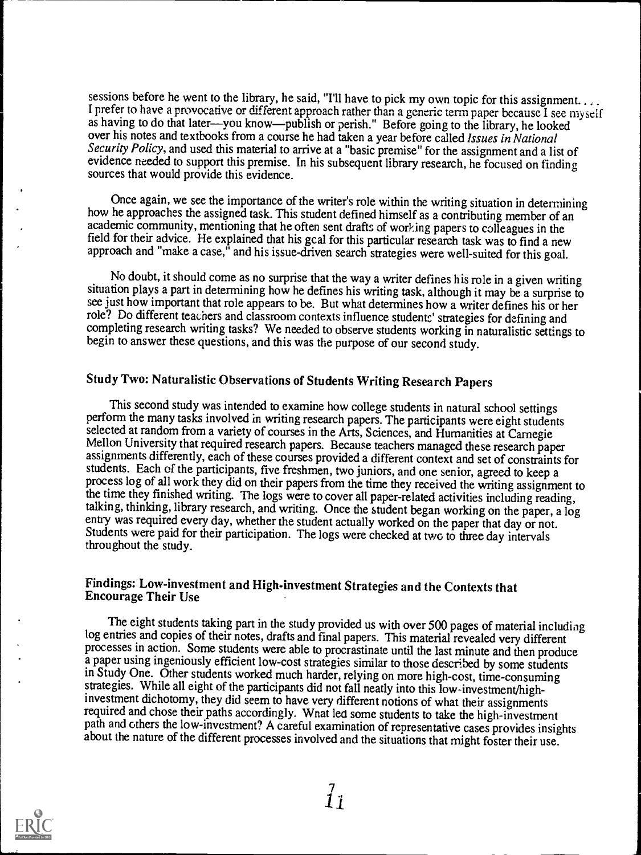sessions before he went to the library, he said, "I'll have to pick my own topic for this assignment....<br>I prefer to have a provocative or different approach rather than a generic term paper because I see myself as having over his notes and textbooks from a course he had taken a year before called *Issues in National* Security Policy, and used this material to arrive at a "basic premise" for the assignment and a list of evidence needed to support this premise. In his subsequent library research, he focused on finding sources that would provide this evidence.

Once again, we see the importance of the writer's role within the writing situation in determining how he approaches the assigned task. This student defined himself as a contributing member of an academic community, mentioning that he often sent drafts of working papers to colleagues in the field for their advice. He explained that his gcal for this particular research task was to find a new approach and "make a case," and his issue-driven search strategies were well-suited for this goal.

No doubt, it should come as no surprise that the way a writer defines his role in a given writing situation plays a part in determining how he defines his writing task, although it may be a surprise to see just how important that role appears to be. But what determines how a writer defines his or her role? Do different teachers and classroom contexts influence students' strategies for defining and completing research writing tasks? We needed to observe students working in naturalistic settings to begin to answer these questions, and this was the purpose of our second study.

## Study Two: Naturalistic Observations of Students Writing Research Papers

This second study was intended to examine how college students in natural school settings perform the many tasks involved in writing research papers. The participants were eight students selected at random from a variety o Mellon University that required research papers. Because teachers managed these research paper<br>assignments differently, each of these courses provided a different context and set of constraints for<br>students. Each of the pa process log of all work they did on their papers from the time they received the writing assignment to the time they finished writing. The logs were to cover all paper-related activities including reading, talking, thinking, library research, and writing. Once the student began working on the paper, a log entry was required every day, whether the student actually worked on the paper that day or not. Students were paid for their participation. The logs were checked at two to three day intervals throughout the study.

#### Findings: Low-investment and High-investment Strategies and the Contexts that Encourage Their Use

The eight students taking part in the study provided us with over 500 pages of material including log entries and copies of their notes, drafts and final papers. This material revealed very different processes in action. Some students were able to procrastinate until the last minute and then produce a paper using ingeniously efficient low-cost strategies similar to those described by some students in Study One. Other students worked much harder, relying on more high-cost, time-consuming strategies. While all eight of the participants did not fall neatly into this low-investment/highinvestment dichotomy, they did seem to have very different notions of what their assignments required and chose their paths accordingly. What led some students to take the high-investment path and others the low-investment? A careful examination of representative cases provides insights about the nature of the different processes involved and the situations that might foster their use.

![](_page_10_Picture_7.jpeg)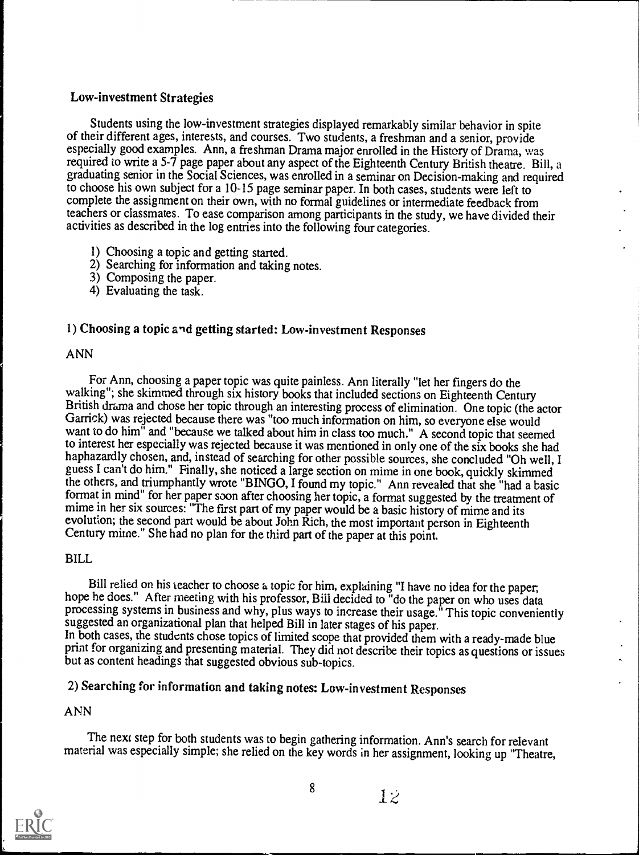## Low-investment Strategies

Students using the low-investment strategies displayed remarkably similar behavior in spite of their different ages, interests, and courses. Two students, a freshman and a senior, provide especially good examples. Ann, a freshman Drama major enrolled in the History of Drama, was required to write a 5-7 page paper about any aspect of the Eighteenth Century British theatre. Bill, a graduating senior in the Social Sciences, was enrolled in a seminar on Decision-making and required to choose his own subject for a 10-15 page seminar paper. In both cases, students were left to complete the assignment on their own, with no formal guidelines or intermediate feedback from teachers or classmates. To ease comparison among participants in the study, we have divided their activities as described in the log entries into the following four categories.

- 1) Choosing a topic and getting started.
- 2) Searching for information and taking notes.
- 3) Composing the paper.
- 4) Evaluating the task.

## 1) Choosing a topic and getting started: Low-investment Responses

#### ANN

For Ann, choosing a paper topic was quite painless. Ann literally "let her fingers do the British drama and chose her topic through an interesting process of elimination. One topic (the actor Garrick) was rejected because there was "too much information on him, so everyone else would want to do him<sup>"</sup> and "because we talked about him in class too much." A second topic that seemed to interest her especially was rejected because it was mentioned in only one of the six books she had haphazardly chosen, and, instead of searching for other possible sources, she concluded "Oh well, I guess I can't do him." Finally, she noticed a large section on mime in one book, quickly skimmed the others, and triumphantly wrote "BINGO, I found my topic." Ann revealed that she "had a basic format in mind" for her paper soon after choosing her topic, a format suggested by the treatment of mime in her six sources: "The first part of my paper would be a basic history of mime and its evolution; the second part w Century mime." She had no plan for the third part of the paper at this point.

## BILL

Bill relied on his teacher to choose a topic for him, explaining "I have no idea for the paper,<br>hope he does." After meeting with his professor, Bill decided to "do the paper on who uses data<br>processing systems in business In both cases, the students chose topics of limited scope that provided them with a ready-made blue<br>print for organizing and presenting material. They did not describe their topics as questions or issues<br>but as content hea

## 2) Searching for information and taking notes: Low-investment Responses

## ANN

The next step for both students was to begin gathering information. Ann's search for relevant material was especially simple; she relied on the key words in her assignment, looking up "Theatre,

![](_page_11_Picture_14.jpeg)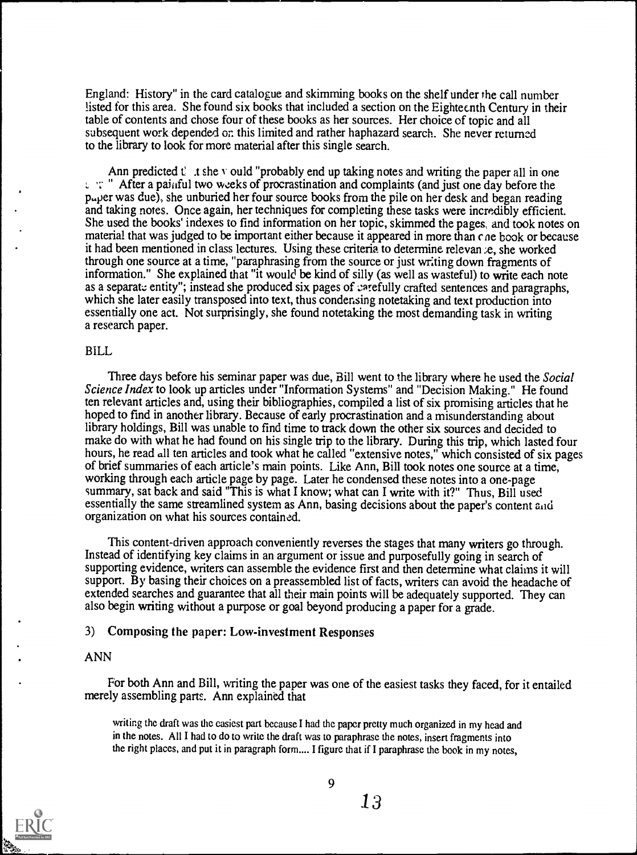England: History" in the card catalogue and skimming books on the shelf under the call number listed for this area. She found six books that included a section on the Eighteenth Century in their table of contents and chose four of these books as her sources. Her choice of topic and all subsequent work depended on this limited and rather haphazard search. She never returned to the library to look for more material after this single search.

Ann predicted  $t^2$  is the v ould "probably end up taking notes and writing the paper all in one  $\mathcal{L}$  " After a painful two weeks of procrastination and complaints (and just one day before the paper was due), she unburied her four source books from the pile on her desk and began reading and taking notes. Once again, her techniques for completing these tasks were incredibly efficient. She used the books' indexes to find information on her topic, skimmed the pages, and took notes on material that was judged to be important either because it appeared in more than che book or because it had been mentioned in class lectures. Using these criteria to determine relevan e, she worked through one source at a time, "paraphrasing from the source or just writing down fragments of information." She explained that "it would be kind of silly (as well as wasteful) to write each note as a separate entity"; instead she produced six pages of carefully crafted sentences and paragraphs, which she later easily transposed into text, thus condensing notetaking and text production into essentially one act. Not surprisingly, she found notetaking the most demanding task in writing a research paper.

#### BILL

Three days before his seminar paper was due, Bill went to the library where he used the Social Science Index to look up articles under "Information Systems" and "Decision Making." He found ten relevant articles and, using their bibliographies, compiled a list of six promising articles that he hoped to find in another library. Because of early procrastination and a misunderstanding about library holdings, Bill was unable to find time to track down the other six sources and decided to make do with what he had found on his single trip to the library. During this trip, which lasted four hours, he read all ten articles and took what he called "extensive notes," which consisted of six pages of brief summaries of each article's main points. Like Ann, Bill took notes one source at a time, working through each article page by page. Later he condensed these notes into a one-page summary, sat back and said "This is what I know; what can I write with it?" Thus, Bill used essentially the same streamlined system as Ann, basing decisions about the paper's content aid organization on what his sources contained.

This content-driven approach conveniently reverses the stages that many writers go through. Instead of identifying key claims in an argument or issue and purposefully going in search of supporting evidence, writers can assemble the evidence first and then determine what claims it will support. By basing their choices on a preassembled list of facts, writers can avoid the headache of extended searches and guarantee that all their main points will be adequately supported. They can also begin writing without a purpose or goal beyond producing a paper for a grade.

#### 3) Composing the paper: Low-investment Responses

#### ANN

For both Ann and Bill, writing the paper was one of the easiest tasks they faced, for it entailed merely assembling parts. Ann explained that

writing the draft was the easiest part because I had the paper pretty much organized in my head and in the notes. All I had to do to write the draft was to paraphrase the notes, insert fragments into the right places, and put it in paragraph form.... I figure that if I paraphrase the book in my notes,

![](_page_12_Picture_9.jpeg)

 $\frac{9}{13}$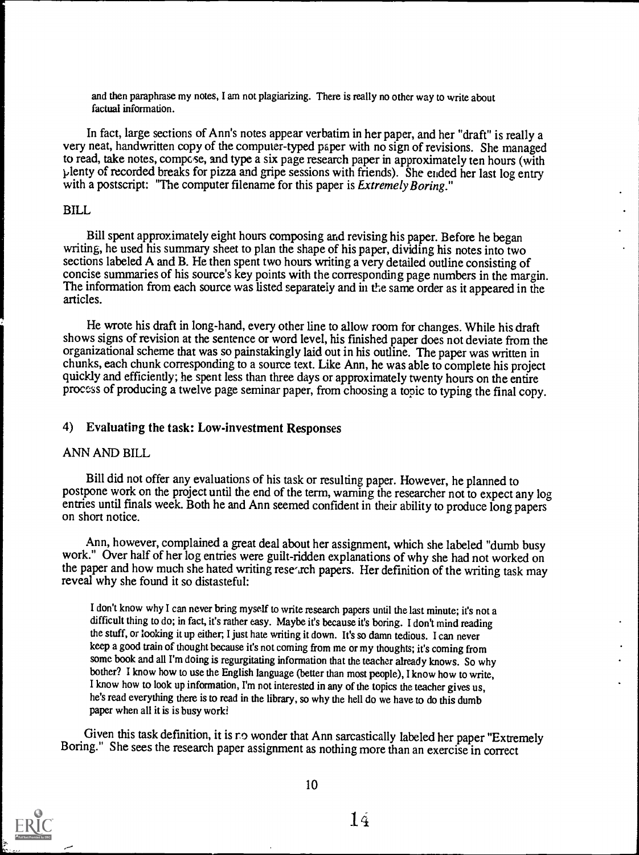and then paraphrase my notes, I am not plagiarizing. There is really no other way to write about factual information.

In fact, large sections of Ann's notes appear verbatim in her paper, and her "draft" is really a very neat, handwritten copy of the computer-typed paper with no sign of revisions. She managed to read, take notes, compose, and type a six page research paper in approximately ten hours (with plenty of recorded breaks for pizza and gripe sessions with friends). She ended her last log entry with a postscript: "The computer filename for this paper is *Extremely Boring*."

#### BILL

Bill spent approximately eight hours composing and revising his paper. Before he began writing, he used his summary sheet to plan the shape of his paper, dividing his notes into two sections labeled A and B. He then spent two hours writing a very detailed outline consisting of concise summaries of his source's key points with the corresponding page numbers in the margin. The information from each source was listed separately and in the same order as it appeared in the articles.

He wrote his draft in long-hand, every other line to allow room for changes. While his draft shows signs of revision at the sentence or word level, his finished paper does not deviate from the organizational scheme that was so painstakingly laid out in his outline. The paper was written in chunks, each chunk corresponding to a source text. Like Ann, he was able to complete his project quickly and efficiently; he spent less than three days or approximately twenty hours on the entire process of producing a twelve page seminar paper, from choosing a topic to typing the final copy.

#### 4) Evaluating the task: Low-investment Responses

#### ANN AND BILL

Bill did not offer any evaluations of his task or resulting paper. However, he planned to postpone work on the project until the end of the term, warning the researcher not to expect any log entries until finals week. Both he and Ann seemed confident in their ability to produce long papers on short notice.

Ann, however, complained a great deal about her assignment, which she labeled "dumb busy work." Over half of her log entries were guilt-ridden explanations of why she had not worked on the paper and how much she hated writing rese-rch papers. Her definition of the writing task may reveal why she found it so distasteful:

I don't know why I can never bring myself to write research papers until the last minute; it's not a difficult thing to do; in fact, it's rather easy. Maybe it's because it's boring. I don't mind reading the stuff, or looking it up either, I just hate writing it down. It'sso damn tedious. I can never keep a good train of thought because it's not coming from me or my thoughts; it's coming from some book and all I'm doing is regurgitating information that the teacher already knows. So why bother? I know how to use the English language (better than most people), I know how to write, I know how to look up information, I'm not interested in any of the topics the teacher gives us, he's read everything there is to read in the library, so why the hell do we have to do this dumb paper when all it is is busy work?

Given this task definition, it is ro wonder that Ann sarcastically labeled her paper "Extremely Boring." She sees the research paper assignment as nothing more than an exercise in correct

![](_page_13_Picture_11.jpeg)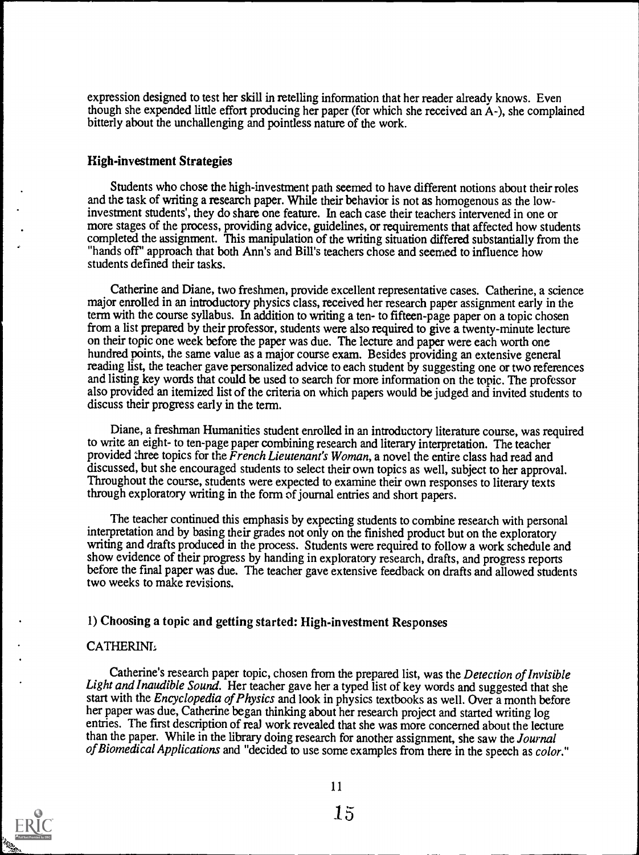expression designed to test her skill in retelling information that her reader already knows. Even though she expended little effort producing her paper (for which she received an A-), she complained bitterly about the unchallenging and pointless nature of the work.

#### High-investment Strategies

Students who chose the high-investment path seemed to have different notions about their roles and the task of writing a research paper. While their behavior is not as homogenous as the lowinvestment students', they do share one feature. In each case their teachers intervened in one or more stages of the process, providing advice, guidelines, or requirements that affected how students completed the assignment. This manipulation of the writing situation differed substantially from the "hands off" approach that both Ann's and Bill's teachers chose and seemed to influence how students defined their tasks.

Catherine and Diane, two freshmen, provide excellent representative cases. Catherine, a science major enrolled in an introductory physics class, received her research paper assignment early in the term with the course syllabus. In addition to writing a ten- to fifteen-page paper on a topic chosen from a list prepared by their professor, students were also required to give a twenty-minute lecture on their topic one week before the paper was due. The lecture and paper were each worth one hundred points, the same value as a major course exam. Besides providing an extensive general reading list, the teacher gave personalized advice to each student by suggesting one or two references and listing key words that could be used to search for more information on the topic. The professor also provided an itemized list of the criteria on which papers would be judged and invited students to discuss their progress early in the term.

Diane, a freshman Humanities student enrolled in an introductory literature course, was required to write an eight- to ten-page paper combining research and literary interpretation. The teacher provided three topics for the French Lieutenant's Woman, a novel the entire class had read and discussed, but she encouraged students to select their own topics as well, subject to her approval. Throughout the course, students were expected to examine their own responses to literary texts through exploratory writing in the form of journal entries and short papers.

The teacher continued this emphasis by expecting students to combine research with personal interpretation and by basing their grades not only on the finished product but on the exploratory writing and drafts produced in the process. Students were required to follow a work schedule and show evidence of their progress by handing in exploratory research, drafts, and progress reports before the final paper was due. The teacher gave extensive feedback on drafts and allowed students two weeks to make revisions.

#### 1) Choosing a topic and getting started: High-investment Responses

#### CATHERINE

Catherine's research paper topic, chosen from the prepared list, was the Detection of Invisible Light and Inaudible Sound. Her teacher gave her a typed list of key words and suggested that she start with the Encyclopedia of Physics and look in physics textbooks as well. Over a month before her paper was due, Catherine began thinking about her research project and started writing log entries. The first description of real work revealed that she was more concerned about the lecture than the paper. While in the library doing research for another assignment, she saw the Journal of Biomedical Applications and "decided to use some examples from there in the speech as color."

![](_page_14_Picture_9.jpeg)

11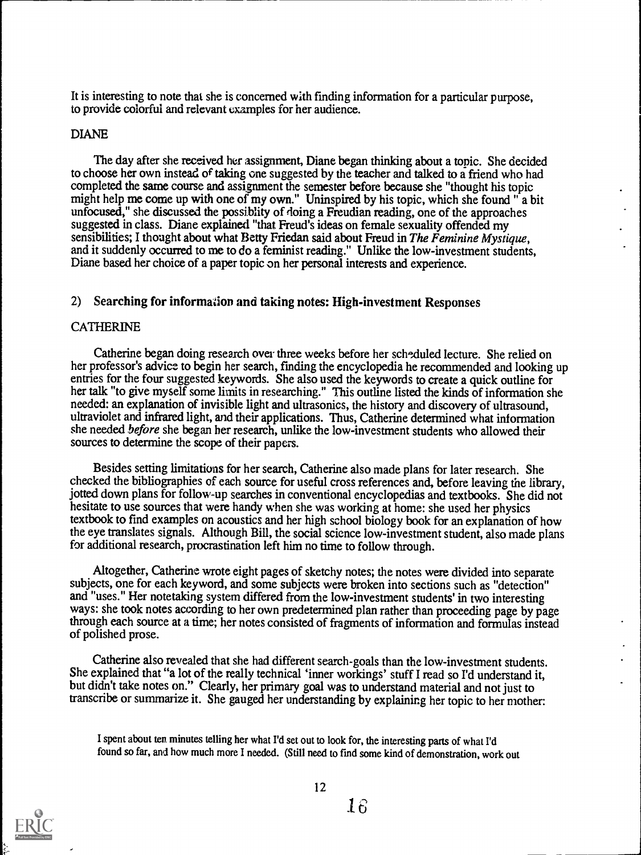It is interesting to note that she is concerned with finding information for a particular purpose, to provide colorful and relevant examples for her audience.

#### DIANE

The day after she received her assignment, Diane began thinking about a topic. She decided to choose her own instead of taking one suggested by the teacher and talked to a friend who had completed the same course and assignment the semester before because she "thought his topic might help me come up with one of my own." Uninspired by his topic, which she found " a bit unfocused," she discussed the possiblity of doing a Freudian reading, one of the approaches suggested in class. Diane explained "that Freud's ideas on female sexuality offended my sensibilities; I thought about what Betty Friedan said about Freud in The Feminine Mystique, and it suddenly occurred to me to do a feminist reading." Unlike the low-investment students, Diane based her choice of a paper topic on her personal interests and experience.

#### 2) Searching for information and taking notes: High-investment Responses

#### CATHERINE

Catherine began doing research over three weeks before her scheduled lecture. She relied on her professor's advice to begin her search, fmding the encyclopedia he recommended and looking up entries for the four suggested keywords. She also used the keywords to create a quick outline for her talk "to give myself some limits in researching." This outline listed the kinds of information she needed: an explanation of invisible light and ultrasonics, the history and discovery of ultrasound, ultraviolet and infrared light, and their applications. Thus, Catherine determined what information she needed before she began her research, unlike the low-investment students who allowed their sources to determine the scope of their papers.

Besides setting limitations for her search, Catherine also made plans for later research. She checked the bibliographies of each source for useful cross references and, before leaving the library, jotted down plans for follow-up searches in conventional encyclopedias and textbooks. She did not hesitate to use sources that were handy when she was working at home: she used her physics textbook to find examples on acoustics and her high school biology book for an explanation of how the eye translates signals. Although Bill, the social science low-investment student, also made plans for additional research, procrastination left him no time to follow through.

Altogether, Catherine wrote eight pages of sketchy notes; the notes were divided into separate subjects, one for each keyword, and some subjects were broken into sections such as "detection" and "uses." Her notetaking system differed from the low-investment students' in two interesting ways: she took notes according to her own predetermined plan rather than proceeding page by page through each source at a time; her notes consisted of fragments of information and formulas instead of polished prose.

Catherine also revealed that she had different search-goals than the low-investment students. She explained that "a lot of the really technical 'inner workings' stuff I read so I'd understand it, but didn't take notes on." Clearly, her primary goal was to understand material and not just to transcribe or summarize it. She gauged her understanding by explaining her topic to her mother:

I spent about ten minutes telling her what I'd set out to look for, the interesting parts of what I'd found so far, and how much more I needed. (Still need to find some kind of demonstration, work out

![](_page_15_Picture_10.jpeg)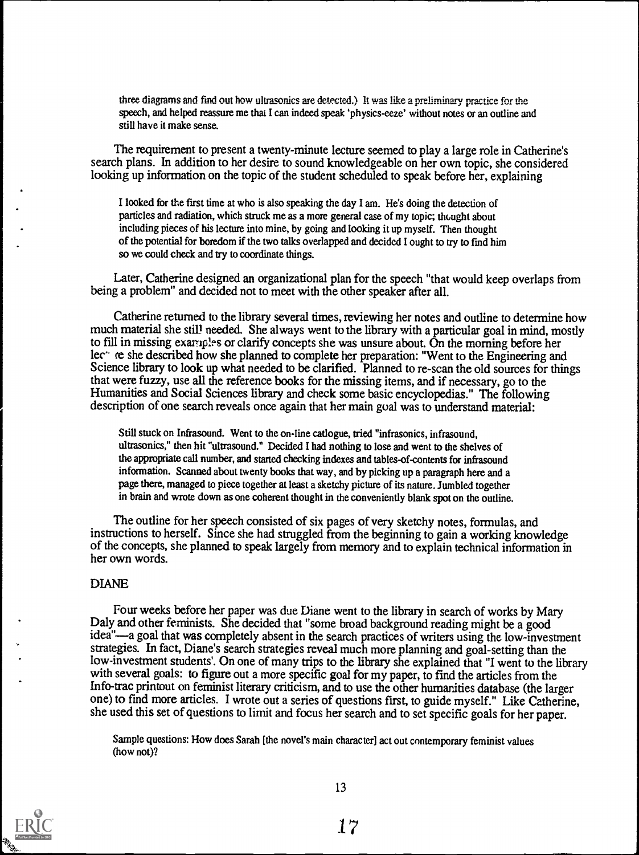three diagrams and find out how ultrasonics are detected.) It was like a preliminary practice for the speech, and helped reassure me that I can indeed speak 'physics-eeze' without notes or an outline and still have it make sense.

The requirement to present a twenty-minute lecture seemed to play a large role in Catherine's search plans. In addition to her desire to sound knowledgeable on her own topic, she considered looking up information on the topic of the student scheduled to speak before her, explaining

I looked for the first time at who is also speaking the day I am. He's doing the detection of particles and radiation, which struck me as a more general case of my topic; thought about including pieces of his lecture into mine, by going and looking it up myself. Then thought of the potential for boredom if the two talks overlapped and decided I ought to try to fmd him so we could check and try to coordinate things.

Later, Catherine designed an organizational plan for the speech "that would keep overlaps from being a problem" and decided not to meet with the other speaker after all.

Catherine returned to the library several times, reviewing her notes and outline to determine how much material she still needed. She always went to the library with a particular goal in mind, mostly to fill in missing examples or clarify concepts she was unsure about. On the morning before her lec<sup>--</sup> re she described how she planned to complete her preparation: "Went to the Engineering and Science library to look up what needed to be clarified. Planned to re-scan the old sources for things that were fuzzy, use all the reference books for the missing items, and if necessary, go to the Humanities and Social Sciences library and check some basic encyclopedias." The following description of one search reveals once again that her main goal was to understand material:

Still stuck on Infrasound. Went to the on-line catlogue, tried "infrasonics, infrasound, ultrasonics," then hit "ultrasound." Decided I had nothing to lose and went to the shelves of the appropriate call number, and started checking indexes and tables-of-contents for infrasound information. Scanned about twenty books that way, and by picking up a paragraph here and a page there, managed to piece together at least a sketchy picture of its nature. Jumbled together in brain and wrote down as one coherent thought in the conveniently blank spot on the outline.

The outline for her speech consisted of six pages of very sketchy notes, formulas, and instructions to herself. Since she had struggled from the beginning to gain a working knowledge of the concepts, she planned to speak largely from memory and to explain technical information in her own words.

#### DIANE

Four weeks before her paper was due Diane went to the library in search of works by Mary Daly and other feminists. She decided that "some broad background reading might be a good idea"—a goal that was completely absent in the search practices of writers using the low-investment strategies. In fact, Diane's search strategies reveal much more planning and goal-setting than the low-investment students'. On one of many trips to the library she explained that "I went to the library with several goals: to figure out a more specific goal for my paper, to find the articles from the Info-trac printout on feminist literary criticism, and to use the other humanities database (the larger one) to find more articles. I wrote out a series of questions first, to guide myself." Like Catherine, she used this set of questions to limit and focus her search and to set specific goals for her paper.

Sample questions: How does Sarah [the novel's main character] act out contemporary feminist values (how not)?

![](_page_16_Picture_10.jpeg)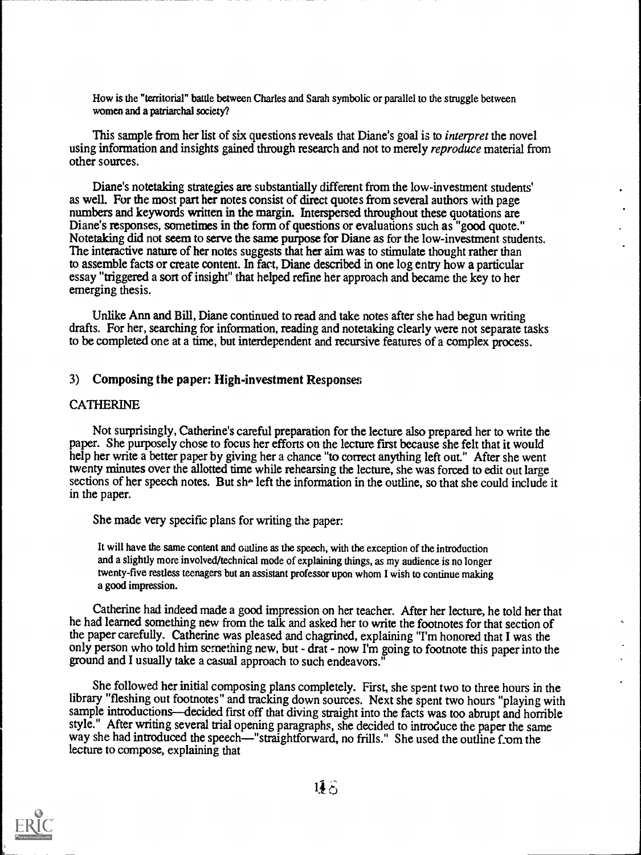How is the "territorial" battle between Charles and Sarah symbolic or parallel to the struggle between women and a patriarchal society?

This sample from her list of six questions reveals that Diane's goal is to *interpret* the novel using information and insights gained through research and not to merely *reproduce* material from other sources.

Diane's notetaking strategies are substantially different from the low-investment students' as well. For the most part her notes consist of direct quotes from several authors with page numbers and keywords written in the margin. Interspersed throughout these quotations are Diane's responses, sometimes in the form of questions or evaluations such as "good quote." Notetaking did not seem to serve the same purpose for Diane as for the low-investment students. The interactive nature of her notes suggests that her aim was to stimulate thought rather than to assemble facts or create content. In fact, Diane described in one log entry how a particular essay "triggered a sort of insight" that helped refine her approach and became the key to her emerging thesis.

Unlike Ann and Bill, Diane continued to read and take notes after she had begun writing drafts. For her, searching for information, reading and notetaking clearly were not separate tasks to be completed one at a time, but interdependent and recursive features of a complex process.

#### 3) Composing the paper: High-investment Responses

#### CATHERINE

Not surprisingly, Catherine's careful preparation for the lecture also prepared her to write the paper. She purposely chose to focus her efforts on the lecture first because she felt that it would help her write a better paper by giving her a chance "to correct anything left out." After she went twenty minutes over the allotted time while rehearsing the lecture, she was forced to edit out large sections of her speech notes. But she left the information in the outline, so that she could include it in the paper.

She made very specific plans for writing the paper:

It will have the same content and outline as the speech, with the exception of the introduction and a slightly more involved/technical mode of explaining things, as my audience is no longer twenty-five restless teenagers but an assistant professor upon whom I wish to continue making a good impression.

Catherine had indeed made a good impression on her teacher. After her lecture, he told her that he had learned something new from the talk and asked her to write the footnotes for that section of the paper carefully. Catherine was pleased and chagrined, explaining "I'm honored that I was the only person who told him sernething new, but - drat - now I'm going to footnote this paper into the ground and I usually take a casual approach to such endeavors."

She followed her initial composing plans completely. First, she spent two to three hours in the library "fleshing out footnotes" and tracking down sources. Next she spent two hours "playing with sample introductions—decided first off that diving straight into the facts was too abrupt and horrible style." After writing several trial opening paragraphs, she decided to introduce the paper the same way she had introduced the speech-"straightforward, no frills." She used the outline from the lecture to compose, explaining that

![](_page_17_Picture_11.jpeg)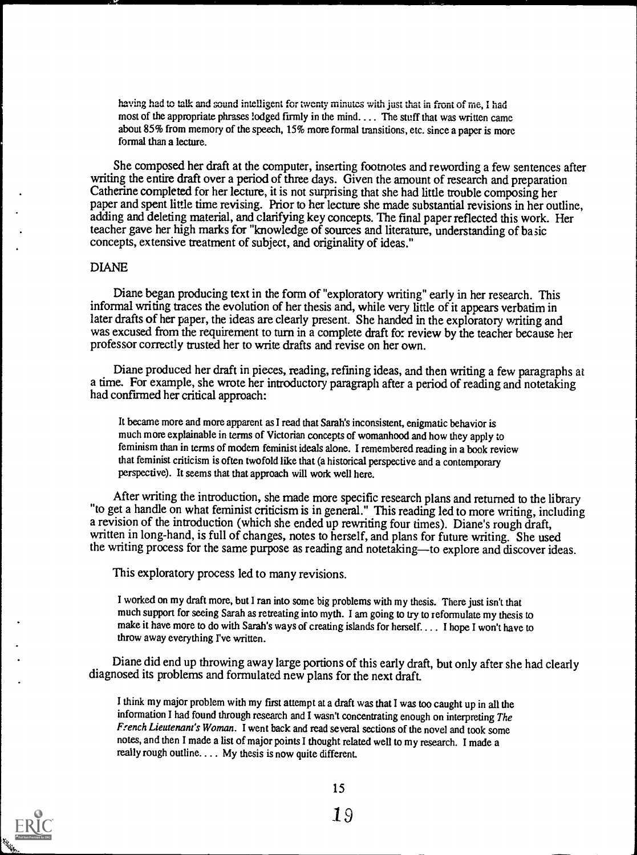having had to talk and sound intelligent for twenty minutes with just that in front of me, I had most of the appropriate phrases lodged firmly in the mind. ... The stuff that was written came about 85% from memory of the speech, 15% more formal transitions, etc. since a paper is more formal than a lecture.

She composed her draft at the computer, inserting footnotes and rewording a few sentences after writing the entire draft over a period of three days. Given the amount of research and preparation Catherine completed for her lecture, it is not surprising that she had little trouble composing her paper and spent little time revising. Prior to her lecture she made substantial revisions in her outline, adding and deleting material, and clarifying key concepts. The final paper reflected this work. Her teacher gave her high marks for "knowledge of sources and literature, understanding of basic concepts, extensive treatment of subject, and originality of ideas."

#### DIANE

Diane began producing text in the form of "exploratory writing" early in her research. This informal writing traces the evolution of her thesis and, while very little of it appears verbatim in later drafts of her paper, the ideas are clearly present. She handed in the exploratory writing and was excused from the requirement to turn in a complete draft for review by the teacher because her professor correctly trusted her to write drafts and revise on her own.

Diane produced her draft in pieces, reading, refining ideas, and then writing a few paragraphs at a time. For example, she wrote her introductory paragraph after a period of reading and notetaking had confirmed her critical approach:

It became more and more apparent as I read that Sarah's inconsistent, enigmatic behavior is much more explainable in terms of Victorian concepts of womanhood and how they apply to feminism than in terms of modern feminist ideals alone. I remembered reading in a book review that feminist criticism is often twofold like that (a historical perspective and a contemporary perspective). It seems that that approach will work well here.

After writing the introduction, she made more specific research plans and returned to the library "to get a handle on what feminist criticism is in general." This reading led to more writing, including a revision of the introduction (which she ended up rewriting four times). Diane's rough draft, written in long-hand, is full of changes, notes to herself, and plans for future writing. She used the writing process for the same purpose as reading and notetaking—to explore and discover ideas.

This exploratory process led to many revisions.

I worked on my draft more, but I ran into some big problems with my thesis. There just isn't that much support for seeing Sarah as retreating into myth. I am going to try to reformulate my thesis to make it have more to do with Sarah's ways of creating islands for herself.... I hope I won't have to throw away everything I've written.

Diane did end up throwing away large portions of this early draft, but only after she hadclearly diagnosed its problems and formulated new plans for the next draft.

I think my major problem with my first attempt at a draft was that I was too caught up in all the information I had found through research and I wasn't concentrating enough on interpreting The French Lieutenant's Woman. I went back and read several sections of the novel and took some notes, and then I made a list of major points I thought related well to my research. I made a really rough outline.... My thesis is now quite different.

![](_page_18_Picture_11.jpeg)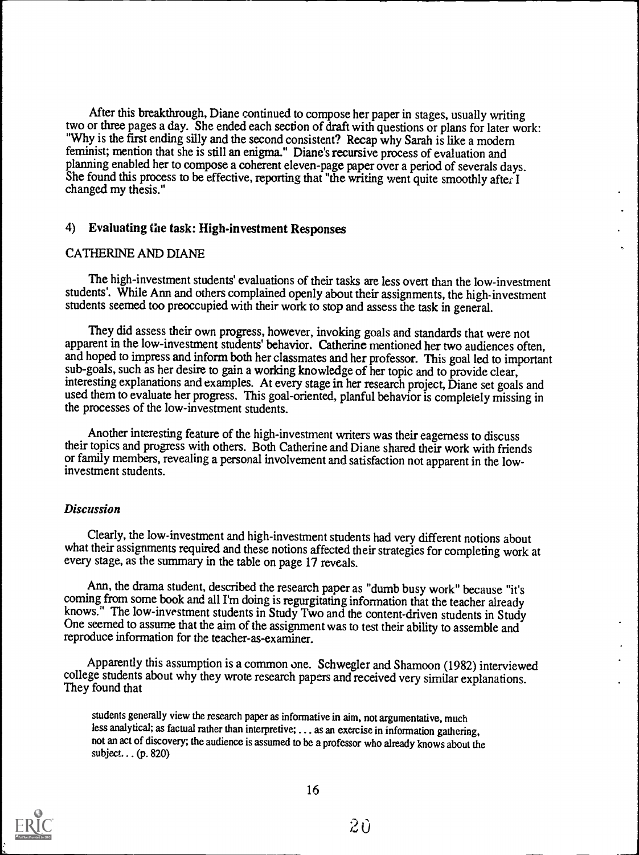After this breakthrough, Diane continued to compose her paper in stages, usually writing two or three pages a day. She ended each section of draft with questions or plans for later work: "Why is the first ending silly and the second consistent? Recap why Sarah is like a modem feminist; mention that she is still an enigma." Diane's recursive process of evaluation and planning enabled her to compose a coherent eleven-page paper over a period of severals days. She found this process to be effective, reporting that "the writing went quite smoothly after I changed my thesis."

#### 4) Evaluating the task: High-investment Responses

#### CATHERINE AND DIANE

The high-investment students' evaluations of their tasks are less overt than the low-investment students'. While Ann and others complained openly about their assignments, the high-investment students seemed too preoccupied with their work to stop and assess the task in general.

They did assess their own progress, however, invoking goals and standards that were not apparent in the low-investment students' behavior. Catherine mentioned her two audiences often, and hoped to impress and inform both her classmates and her professor. This goal led to important sub-goals, such as her desire to gain a working knowledge of her topic and to provide clear, interesting explanations and examples. At every stage in her research project, Diane set goals and used them to evaluate her progress. This goal-oriented, planful behavior is completely missing in the processes of the low-investment students.

Another interesting feature of the high-investment writers was their eagerness to discuss their topics and progress with others. Both Catherine and Diane shared their work with friends or family members, revealing a personal involvement and satisfaction not apparent in the lowinvestment students.

#### **Discussion**

Clearly, the low-investment and high-investment students had very different notions about what their assignments required and these notions affected their strategies for completing work at every stage, as the summary in th

Ann, the drama student, described the research paper as "dumb busy work" because "it's coming from some book and all I'm doing is regurgitating information that the teacher already knows." The low-investment students in St reproduce information for the teacher-as-examiner.

Apparently this assumption is a common one. Schwegler and Shamoon (1982) interviewed college students about why they wrote research papers and received very similar explanations. They found that

students generally view the research paper as informative in aim, not argumentative, much less analytical; as factual rather than interpretive; ... as an exercise in information gathering, not an act of discovery; the audience is assumed to be a professor who already knows about the subject.. . (p. 820)

![](_page_19_Picture_11.jpeg)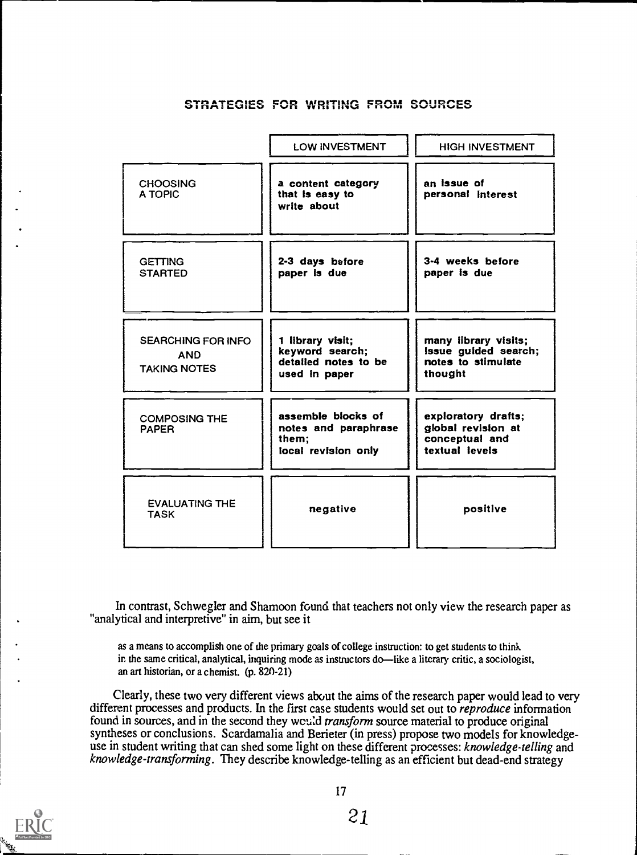#### STRATEGIES FOR WRITING FROM SOURCES

|                                                                | <b>LOW INVESTMENT</b>                                                        | <b>HIGH INVESTMENT</b>                                                        |
|----------------------------------------------------------------|------------------------------------------------------------------------------|-------------------------------------------------------------------------------|
| <b>CHOOSING</b><br>A TOPIC                                     | a content category<br>that is easy to<br>write about                         | an issue of<br>personal interest                                              |
| <b>GETTING</b><br><b>STARTED</b>                               | 2-3 days before<br>paper is due                                              | 3-4 weeks before<br>paper is due                                              |
| <b>SEARCHING FOR INFO</b><br><b>AND</b><br><b>TAKING NOTES</b> | 1 library visit;<br>keyword search;<br>detailed notes to be<br>used in paper | many iibrary visits;<br>Issue guided search;<br>notes to stimulate<br>thought |
| <b>COMPOSING THE</b><br><b>PAPER</b>                           | assemble blocks of<br>notes and paraphrase<br>them:<br>local revision only   | exploratory drafts;<br>global revision at<br>conceptual and<br>textual levels |
| <b>EVALUATING THE</b><br><b>TASK</b>                           | negative                                                                     | positive                                                                      |

In contrast, Schwegler and Shamoon found that teachers not only view the research paper as "analytical and interpretive" in aim, but see it

as a means to accomplish one of the primary goals of college instruction: to get students to think in the same critical, analytical, inquiring mode as instructors do—like a literary critic, a sociologist, an art historian, or a chemist. (p. 820-21)

Clearly, these two very different views about the aims of the research paper would lead to very different processes and products. In the first case students would set out to *reproduce* information found in sources, and in the second they would transform source material to produce original syntheses or conclusions. Scardamalia and Berieter (in press) propose two models for knowledgeuse in student writing that can shed some light on these different processes: knowledge-telling and knowledge-transforming. They describe knowledge-telling as an efficient but dead-end strategy

![](_page_20_Picture_5.jpeg)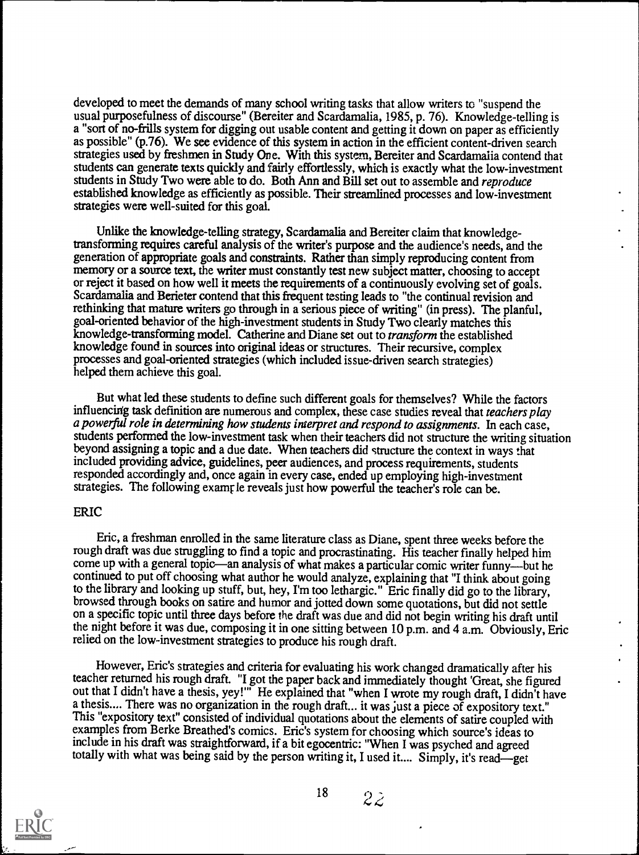developed to meet the demands of many school writing tasks that allow writers to "suspend the usual purposefulness of discourse" (Bereiter and Scardamalia, 1985, p. 76). Knowledge-telling is a "sort of no-frills system for digging out usable content and getting it down on paper as efficiently as possible" (p.76). We see evidence of this system in action in the efficient content-driven search strategies used by freshmen in Study One. With this system, Bereiter and Scardamalia contend that students can generate texts quickly and fairly effortlessly, which is exactly what the low-investment students in Study Two were able to do. Both Ann and Bill set out to assemble and reproduce established knowledge as efficiently as possible. Their streamlined processes and low-investment strategies were well-suited for this goal.

Unlike the knowledge-telling strategy, Scardamalia and Bereiter claim that knowledgetransforming requires careful analysis of the writer's purpose and the audience's needs, and the generation of appropriate goals and constraints. Rather than simply reproducing content from memory or a source text, the writer must constantly test new subject matter, choosing to accept or reject it based on how well it meets the requirements of a continuously evolving set of goals. Scardamalia and Berieter contend that this frequent testing leads to "the continual revision and rethinking that mature writers go through in a serious piece of writing" (in press). The planful, goal-oriented behavior of the high-investment students in Study Two clearly matches this knowledge-transforming model. Catherine and Diane set out to transform the established knowledge found in sources into original ideas or structures. Their recursive, complex processes and goal-oriented strategies (which included issue-driven search strategies) helped them achieve this goal.

But what led these students to define such different goals for themselves? While the factors influencing task definition are numerous and complex, these case studies reveal that teachers play a powerful role in determining how students interpret and respond to assignments. In each case, students performed the low-investment task when their teachers did not structure the writing situation beyond assigning a topic and a due date. When teachers did structure the context in ways that included providing advice, guidelines, peer audiences, and process requirements, students responded accordingly and, once again in every case, ended up employing high-investment strategies. The following examr le reveals just how powerful the teacher's role can be.

#### ERIC

Eric, a freshman enrolled in the same literature class as Diane, spent three weeks before the rough draft was due struggling to find a topic and procrastinating. His teacher finally helped him come up with a general topic—an analysis of what makes a particular comic writer funny—but he continued to put off choosing what author he would analyze, explaining that "I think about going to the library and looking up stuff, but, hey, I'm too lethargic." Eric finally did go to the library, browsed through books on satire and humor and jotted down some quotations, but did not settle on a specific topic until three days before the draft was due and did not begin writing his draft until the night before it was due, composing it in one sitting between 10 p.m. and 4 a.m. Obviously, Eric relied on the low-investment strategies to produce his rough draft.

However, Eric's strategies and criteria for evaluating his work changed dramatically after his teacher returned his rough draft. "I got the paper back and immediately thought 'Great, she figured out that I didn't have a thesis, yey!"' He explained that "when I wrote my rough draft, I didn't have a thesis.... There was no organization in the rough draft.., it was just a piece of expository text." This "expository text" consisted of individual quotations about the elements of satire coupled with examples from Berke Breathed's comics. Eric's system for choosing which source's ideas to include in his draft was straightforward, if a bit egocentric: "When I was psyched and agreed totally with what was being said by the person writing it, I used it.... Simply, it's read-get

![](_page_21_Picture_6.jpeg)

 $18 \t 22$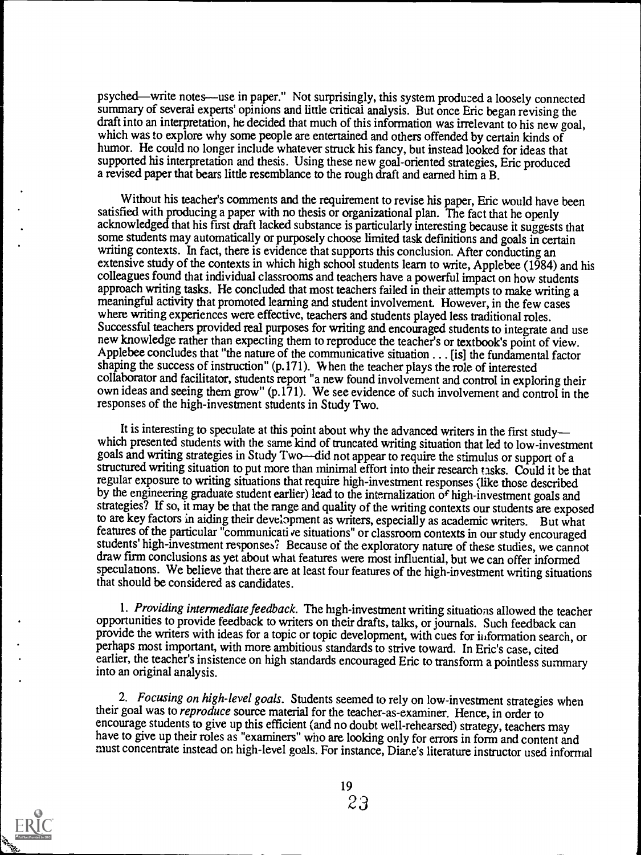psyched—write notes—use in paper." Not surprisingly, this system produced a loosely connected summary of several experts' opinions and little critical analysis. But once Eric began revising the draft into an interpretation, he decided that much of this information was irrelevant to his new goal, which was to explore why some people are entertained and others offended by certain kinds of humor. He could no longer include whatever struck his fancy, but instead looked for ideas that supported his interpretation and thesis. Using these new goal-oriented strategies, Eric produced a revised paper that bears little resemblance to the rough draft and earned him a B.

Without his teacher's comments and the requirement to revise his paper, Eric would have been satisfied with producing a paper with no thesis or organizational plan. The fact that he openly acknowledged that his first draft lacked substance is particularly interesting because it suggests that some students may automatically or purposely choose limited task definitions and goals in certain writing contexts. In fact, there is evidence that supports this conclusion. After conducting an extensive study of the contexts in which high school students learn to write, Applebee (1984) and his colleagues found that individual classrooms and teachers have a powerful impact on how students approach writing tasks. He concluded that most teachers failed in their attempts to make writing a meaningful activity that promoted learning and student involvement. However, in the few cases where writing experiences were effective, teachers and students played less traditional roles.<br>Successful teachers provided real purposes for writing and encouraged students to integrate and use new knowledge rather than expecting them to reproduce the teacher's or textbook's point of view. Applebee concludes that "the nature of the communicative situation . . . [is] the fundamental factor shaping the success of instruction" (p.171). When the teacher plays the role of interested collaborator and facilitator, students report "a new found involvement and control in exploring their own ideas and seeing them grow" (p.171). We see evidence of such involvement and control in the responses of the high-investment students in Study Two.

It is interesting to speculate at this point about why the advanced writers in the first studywhich presented students with the same kind of truncated writing situation that led to low-investment goals and writing strategies in Study Two-did not appear to require the stimulus or support of a structured writing situation to put more than minimal effort into their research tasks. Could it be that regular exposure to writing situations that require high-investment responses (like those described by the engineering graduate student earlier) lead to the internalization of high-investment goals and strategies? If so, it may be that the range and quality of the writing contexts our students are exposed to are key factors in aiding their development as writers, especially as academic writers. But what features of the particular "communicati ve situations" or classroom contexts in our study encouraged students' high-investment responses? Because of the exploratory nature of these studies, we cannot draw firm conclusions as yet about what features were most influential, but we can offer informed speculations. We believe that there are at least four features of the high-investment writing situations that should be considered as candidates.

1. Providing intermediate feedback. The high-investment writing situations allowed the teacher opportunities to provide feedback to writers on their drafts, talks, or journals. Such feedback can provide the writers with ideas for a topic or topic development, with cues for information search, or perhaps most important, with more ambitious standards to strive toward. In Eric's case, cited earlier, the teacher's insistence on high standards encouraged Eric to transform a pointless summary into an original analysis.

2. Focusing on high-level goals. Students seemed to rely on low-investment strategies when their goal was to *reproduce* source material for the teacher-as-examiner. Hence, in order to encourage students to give up this efficient (and no doubt well-rehearsed) strategy, teachers may have to give up their roles as "examiners" who are looking only for errors in form and content and must concentrate instead or. high-level goals. For instance, Diane's literature instructor used informal

![](_page_22_Picture_5.jpeg)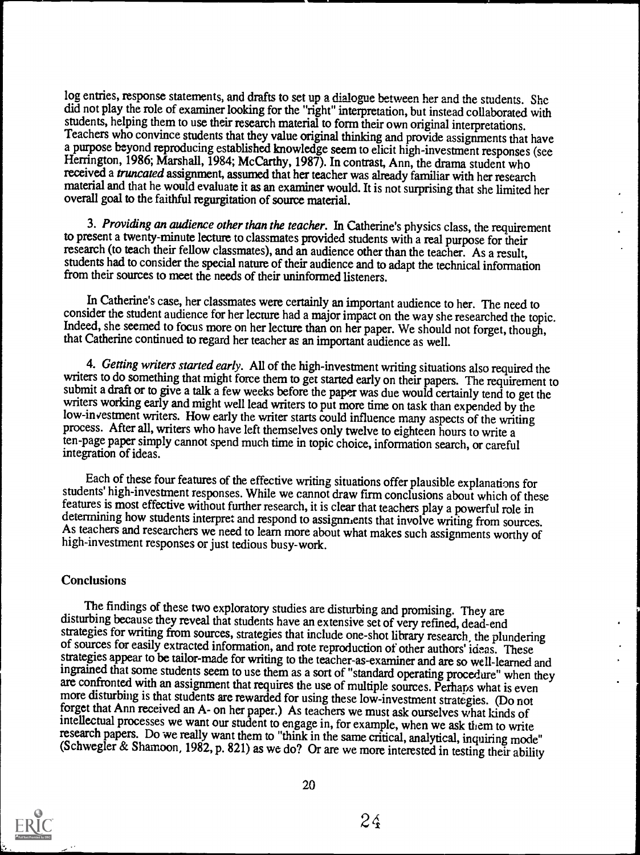log entries, response statements, and drafts to set up a dialogue between her and the students. She did not play the role of examiner looking for the "right" interpretation, but instead collaborated with students, helping them to use their research material to form their own original interpretations. Teachers who convince students that they value original thinking and provide assignments that have a purpose beyond reproducing established knowledge seem to elicit high-investment responses (see Herrington, 1986; Marshall, 1984; McCarthy, 1987). In contrast, Ann, the drama student who received a *truncated* assignment, assumed that her teacher was already familiar with her research material and that he would evaluate it as an examiner would. It is not surprising that she limited her overall goal to the faithful regurgitation of source material.

3. Providing an audience other than the teacher. In Catherine's physics class, the requirement to present a twenty-minute lecture to classmates provided students with a real purpose for their research (to teach their fellow classmates), and an audience other than the teacher. As a result, students had to consider the special nature of their audience and to adapt the technical information from their sources to meet the needs of their uninformed listeners.

In Catherine's case, her classmates were certainly an important audience to her. The need to consider the student audience for her lecture had a major impact on the way she researched the topic. Indeed, she seemed to focus more on her lecture than on her paper. We should not forget, though, that Catherine continued to regard her teacher as an important audience as well.

4. Getting writers started early. All of the high-investment writing situations also required the writers to do something that might force them to get started early on their papers. The requirement to submit a draft or to writers working early and might well lead writers to put more time on task than expended by the low-investment writers. How early the writer starts could influence many aspects of the writing process. After all, writers who have left themselves only twelve to eighteen hours to write a ten-page paper simply cannot spend much time in topic choice, information search, or careful integration of ideas.

Each of these four features of the effective writing situations offer plausible explanations for students' high-investment responses. While we cannot draw firm conclusions about which of these features is most effective wi determining how students interpret and respond to assignments that involve writing from sources.<br>As teachers and researchers we need to learn more about what makes such assignments worthy of high-investment responses or ju

#### **Conclusions**

The findings of these two exploratory studies are disturbing and promising. They are disturbing because they reveal that students have an extensive set of very refined, dead-end strategies for writing from sources, strategies that include one-shot library research, the plundering of sources for easily extracted information, and rote reproduction of other authors' ideas. These strategies appear to be tailor-made for writing to the teacher-as-examiner and are so well-learned and ingrained that some students seem to use them as a sort of "standard operating procedure" when they are confronted with an assignment that requires the use of multiple sources. Perhaps what is even more disturbing is that students are rewarded for using these low-investment strategies. (Do not forget that Ann received an A- on her paper.) As teachers we must ask ourselves what kinds of intellectual processes we want our student to engage in, for example, when we ask them to write research papers. Do we really want them to "think in the same critical, analytical, inquiring mode" (Schwegler & Shamoon, 1982, p. 821) as we do? Or are we more interested in testing their ability

![](_page_23_Picture_7.jpeg)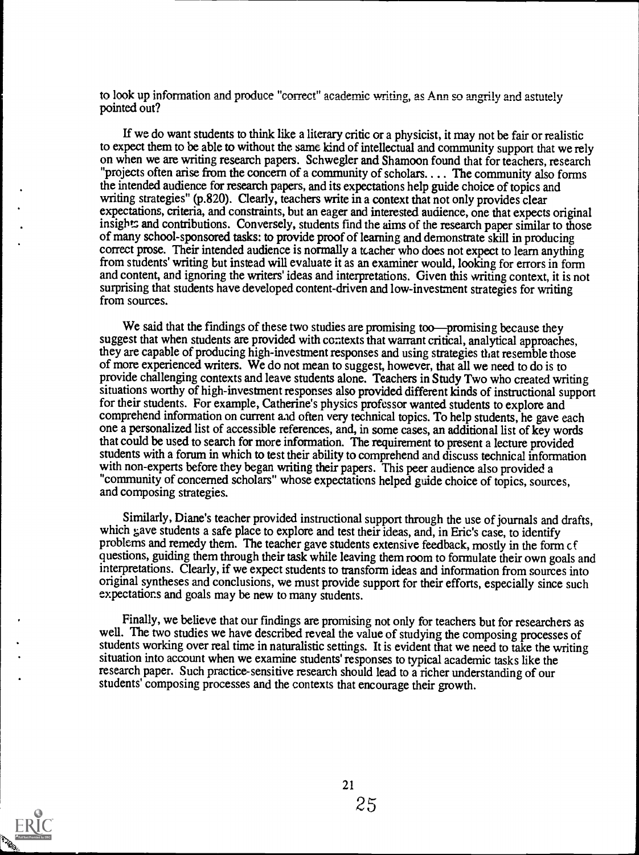to look up information and produce "correct" academic writing, as Ann so angrily and astutely pointed out?

If we do want students to think like a literary critic or a physicist, it may not be fair or realistic to expect them to be able to without the same kind of intellectual and community support that we rely on when we are writing research papers. Schwegler and Shamoon found that for teachers, research "projects often arise from the concern of a community of scholars. . .. The community also forms the intended audience for research papers, and its expectations help guide choice of topics and writing strategies" (p.820). Clearly, teachers write in a context that not only provides clear expectations, criteria, and constraints, but an eager and interested audience, one that expects original insights and contributions. Conversely, students find the aims of the research paper similar to those of many school-sponsored tasks: to provide proof of learning and demonstrate skill in producing correct prose. Their intended audience is normally a kacher who does not expect to learn anything from students' writing but instead will evaluate it as an examiner would, looking for errors in form and content, and ignoring the writers' ideas and interpretations. Given this writing context, it is not surprising that students have developed content-driven and low- investment strategies for writing from sources.

We said that the findings of these two studies are promising too—promising because they suggest that when students are provided with contexts that warrant critical, analytical approaches, they are capable of producing high-investment responses and using strategies that resemble those of more experienced writers. We do not mean to suggest, however, that all we need to do is to provide challenging contexts and leave students alone. Teachers in Study Two who created writing situations worthy of high-investment responses also provided different kinds of instructional support for their students. For example, Catherine's physics professor wanted students to explore and comprehend information on current aid often very technical topics. To help students, he gave each one a personalized list of accessible references, and, in some cases, an additional list of key words that could be used to search for more information. The requirement to present a lecture provided students with a forum in which to test their ability to comprehend and discuss technical information with non-experts before they began writing their papers. This peer audience also provided a "community of concerned scholars" whose expectations helped guide choice of topics, sources, and composing strategies.

Similarly, Diane's teacher provided instructional support through the use of journals and drafts, which gave students a safe place to explore and test their ideas, and, in Eric's case, to identify problems and remedy them. The teacher gave students extensive feedback, mostly in the form cf questions, guiding them through their task while leaving them room to formulate their own goals and interpretations. Clearly, if we expect students to transform ideas and information from sources into original syntheses and conclusions, we must provide support for their efforts, especially since such expectations and goals may be new to many students.

Finally, we believe that our findings are promising not only for teachers but for researchers as well. The two studies we have described reveal the value of studying the composing processes of students working over real time in naturalistic settings. It is evident that we need to take the writing situation into account when we examine students' responses to typical academic tasks like the research paper. Such practice-sensitive research should lead to a richer understanding of our students' composing processes and the contexts that encourage their growth.

![](_page_24_Picture_5.jpeg)